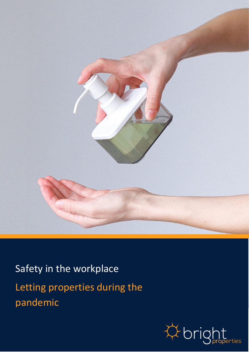

Safety in the workplace Letting properties during the pandemic

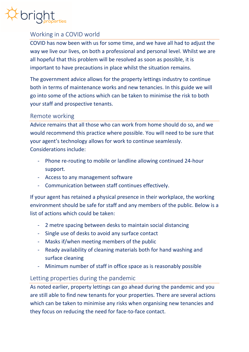

# Working in a COVID world

COVID has now been with us for some time, and we have all had to adjust the way we live our lives, on both a professional and personal level. Whilst we are all hopeful that this problem will be resolved as soon as possible, it is important to have precautions in place whilst the situation remains.

The government advice allows for the property lettings industry to continue both in terms of maintenance works and new tenancies. In this guide we will go into some of the actions which can be taken to minimise the risk to both your staff and prospective tenants.

#### Remote working

Advice remains that all those who can work from home should do so, and we would recommend this practice where possible. You will need to be sure that your agent's technology allows for work to continue seamlessly. Considerations include:

- Phone re-routing to mobile or landline allowing continued 24-hour support.
- Access to any management software
- Communication between staff continues effectively.

If your agent has retained a physical presence in their workplace, the working environment should be safe for staff and any members of the public. Below is a list of actions which could be taken:

- 2 metre spacing between desks to maintain social distancing
- Single use of desks to avoid any surface contact
- Masks if/when meeting members of the public
- Ready availability of cleaning materials both for hand washing and surface cleaning
- Minimum number of staff in office space as is reasonably possible

### Letting properties during the pandemic

As noted earlier, property lettings can go ahead during the pandemic and you are still able to find new tenants for your properties. There are several actions which can be taken to minimise any risks when organising new tenancies and they focus on reducing the need for face-to-face contact.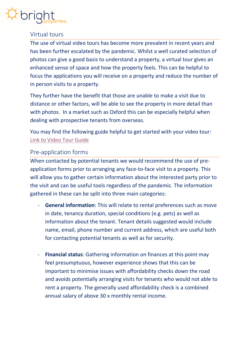

## Virtual tours

The use of virtual video tours has become more prevalent in recent years and has been further escalated by the pandemic. Whilst a well curated selection of photos can give a good basis to understand a property, a virtual tour gives an enhanced sense of space and how the property feels. This can be helpful to focus the applications you will receive on a property and reduce the number of in person visits to a property.

They further have the benefit that those are unable to make a visit due to distance or other factors, will be able to see the property in more detail than with photos. In a market such as Oxford this can be especially helpful when dealing with prospective tenants from overseas.

You may find the following guide helpful to get started with your video tour: [Link to Video Tour Guide](https://brightproperties.co.uk/wp-content/uploads/Producing-a-video-tour-FINAL.pdf)

### Pre-application forms

When contacted by potential tenants we would recommend the use of preapplication forms prior to arranging any face-to-face visit to a property. This will allow you to gather certain information about the interested party prior to the visit and can be useful tools regardless of the pandemic. The information gathered in these can be split into three main categories:

- **General information:** This will relate to rental preferences such as move in date, tenancy duration, special conditions (e.g. pets) as well as information about the tenant. Tenant details suggested would include name, email, phone number and current address, which are useful both for contacting potential tenants as well as for security.
- **Financial status**: Gathering information on finances at this point may feel presumptuous, however experience shows that this can be important to minimise issues with affordability checks down the road and avoids potentially arranging visits for tenants who would not able to rent a property. The generally used affordability check is a combined annual salary of above 30 x monthly rental income.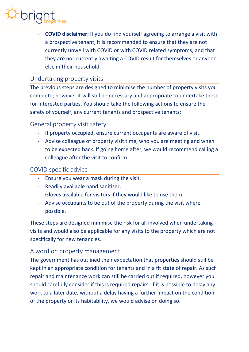# $\approx$  bright

- **COVID disclaimer:** If you do find yourself agreeing to arrange a visit with a prospective tenant, it is recommended to ensure that they are not currently unwell with COVID or with COVID related symptoms, and that they are nor currently awaiting a COVID result for themselves or anyone else in their household.

## Undertaking property visits

The previous steps are designed to minimise the number of property visits you complete; however it will still be necessary and appropriate to undertake these for interested parties. You should take the following actions to ensure the safety of yourself, any current tenants and prospective tenants:

## General property visit safety

- If property occupied, ensure current occupants are aware of visit.
- Advise colleague of property visit time, who you are meeting and when to be expected back. If going home after, we would recommend calling a colleague after the visit to confirm.

### COVID specific advice

- Ensure you wear a mask during the visit.
- Readily available hand sanitiser.
- Gloves available for visitors if they would like to use them.
- Advise occupants to be out of the property during the visit where possible.

These steps are designed minimise the risk for all involved when undertaking visits and would also be applicable for any visits to the property which are not specifically for new tenancies.

### A word on property management

The government has outlined their expectation that properties should still be kept in an appropriate condition for tenants and in a fit state of repair. As such repair and maintenance work can still be carried out if required, however you should carefully consider if this is required repairs. If it is possible to delay any work to a later date, without a delay having a further impact on the condition of the property or its habitability, we would advise on doing so.